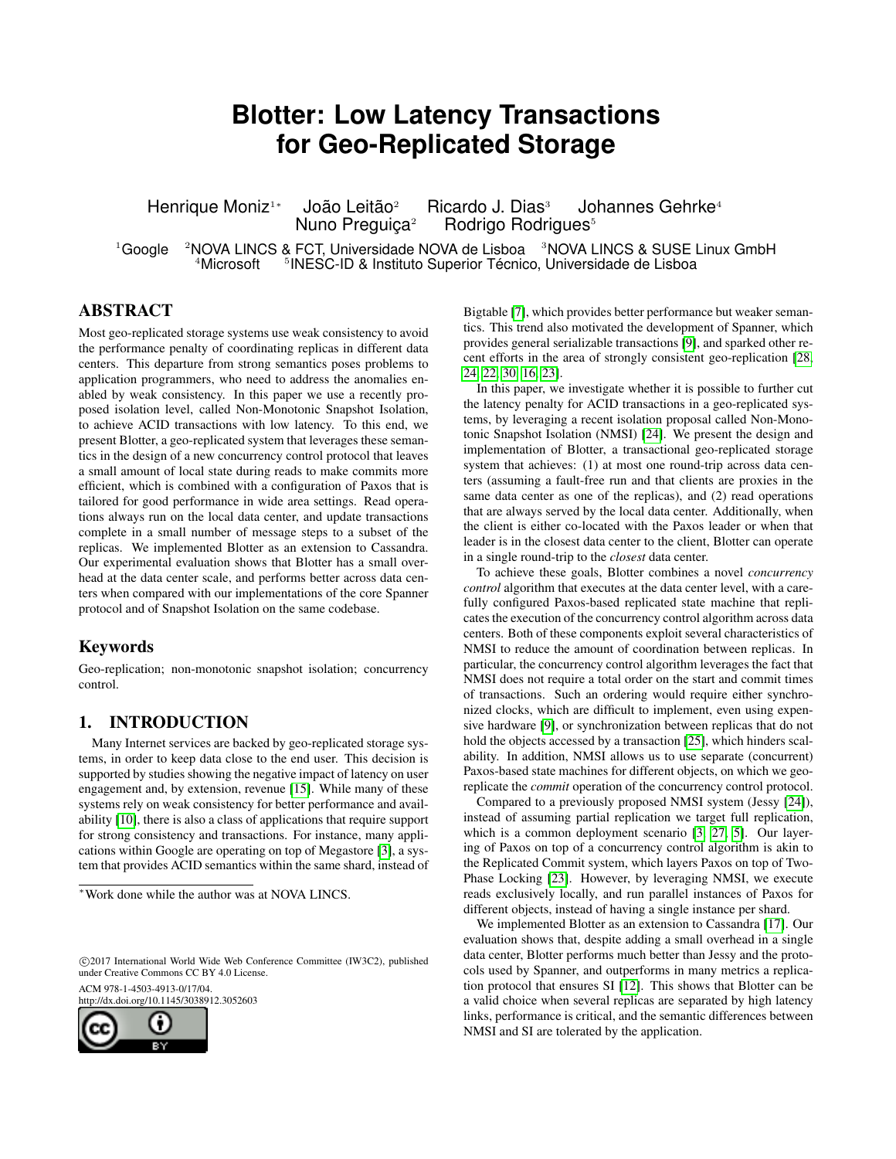# **Blotter: Low Latency Transactions for Geo-Replicated Storage**

Henrique Moniz<sup>1∗</sup> João Leitão<sup>2</sup> Ricardo J. Dias<sup>3</sup> Johannes Gehrke<sup>4</sup><br>Nuno Preguiça<sup>2</sup> Rodrigo Rodrigues<sup>5</sup> Rodrigo Rodrigues<sup>5</sup>

 $1G$ oogle  $2N$ OVA LINCS & FCT, Universidade NOVA de Lisboa  $3N$ OVA LINCS & SUSE Linux GmbH <sup>4</sup>Microsoft <sup>5</sup> <sup>5</sup> INESC-ID & Instituto Superior Técnico, Universidade de Lisboa

## ABSTRACT

Most geo-replicated storage systems use weak consistency to avoid the performance penalty of coordinating replicas in different data centers. This departure from strong semantics poses problems to application programmers, who need to address the anomalies enabled by weak consistency. In this paper we use a recently proposed isolation level, called Non-Monotonic Snapshot Isolation, to achieve ACID transactions with low latency. To this end, we present Blotter, a geo-replicated system that leverages these semantics in the design of a new concurrency control protocol that leaves a small amount of local state during reads to make commits more efficient, which is combined with a configuration of Paxos that is tailored for good performance in wide area settings. Read operations always run on the local data center, and update transactions complete in a small number of message steps to a subset of the replicas. We implemented Blotter as an extension to Cassandra. Our experimental evaluation shows that Blotter has a small overhead at the data center scale, and performs better across data centers when compared with our implementations of the core Spanner protocol and of Snapshot Isolation on the same codebase.

## Keywords

Geo-replication; non-monotonic snapshot isolation; concurrency control.

## 1. INTRODUCTION

Many Internet services are backed by geo-replicated storage systems, in order to keep data close to the end user. This decision is supported by studies showing the negative impact of latency on user engagement and, by extension, revenue [\[15\]](#page-9-0). While many of these systems rely on weak consistency for better performance and availability [\[10\]](#page-9-1), there is also a class of applications that require support for strong consistency and transactions. For instance, many applications within Google are operating on top of Megastore [\[3\]](#page-9-2), a system that provides ACID semantics within the same shard, instead of

<sup>∗</sup>Work done while the author was at NOVA LINCS.

 c 2017 International World Wide Web Conference Committee (IW3C2), published under Creative Commons CC BY 4.0 License.

ACM 978-1-4503-4913-0/17/04. http://dx.doi.org/10.1145/3038912.3052603



Bigtable [\[7\]](#page-9-3), which provides better performance but weaker semantics. This trend also motivated the development of Spanner, which provides general serializable transactions [\[9\]](#page-9-4), and sparked other recent efforts in the area of strongly consistent geo-replication [\[28,](#page-9-5) [24,](#page-9-6) [22,](#page-9-7) [30,](#page-9-8) [16,](#page-9-9) [23\]](#page-9-10).

In this paper, we investigate whether it is possible to further cut the latency penalty for ACID transactions in a geo-replicated systems, by leveraging a recent isolation proposal called Non-Monotonic Snapshot Isolation (NMSI) [\[24\]](#page-9-6). We present the design and implementation of Blotter, a transactional geo-replicated storage system that achieves: (1) at most one round-trip across data centers (assuming a fault-free run and that clients are proxies in the same data center as one of the replicas), and (2) read operations that are always served by the local data center. Additionally, when the client is either co-located with the Paxos leader or when that leader is in the closest data center to the client, Blotter can operate in a single round-trip to the *closest* data center.

To achieve these goals, Blotter combines a novel *concurrency control* algorithm that executes at the data center level, with a carefully configured Paxos-based replicated state machine that replicates the execution of the concurrency control algorithm across data centers. Both of these components exploit several characteristics of NMSI to reduce the amount of coordination between replicas. In particular, the concurrency control algorithm leverages the fact that NMSI does not require a total order on the start and commit times of transactions. Such an ordering would require either synchronized clocks, which are difficult to implement, even using expensive hardware [\[9\]](#page-9-4), or synchronization between replicas that do not hold the objects accessed by a transaction [\[25\]](#page-9-11), which hinders scalability. In addition, NMSI allows us to use separate (concurrent) Paxos-based state machines for different objects, on which we georeplicate the *commit* operation of the concurrency control protocol.

Compared to a previously proposed NMSI system (Jessy [\[24\]](#page-9-6)), instead of assuming partial replication we target full replication, which is a common deployment scenario [\[3,](#page-9-2) [27,](#page-9-12) [5\]](#page-9-13). Our layering of Paxos on top of a concurrency control algorithm is akin to the Replicated Commit system, which layers Paxos on top of Two-Phase Locking [\[23\]](#page-9-10). However, by leveraging NMSI, we execute reads exclusively locally, and run parallel instances of Paxos for different objects, instead of having a single instance per shard.

We implemented Blotter as an extension to Cassandra [\[17\]](#page-9-14). Our evaluation shows that, despite adding a small overhead in a single data center, Blotter performs much better than Jessy and the protocols used by Spanner, and outperforms in many metrics a replication protocol that ensures SI [\[12\]](#page-9-15). This shows that Blotter can be a valid choice when several replicas are separated by high latency links, performance is critical, and the semantic differences between NMSI and SI are tolerated by the application.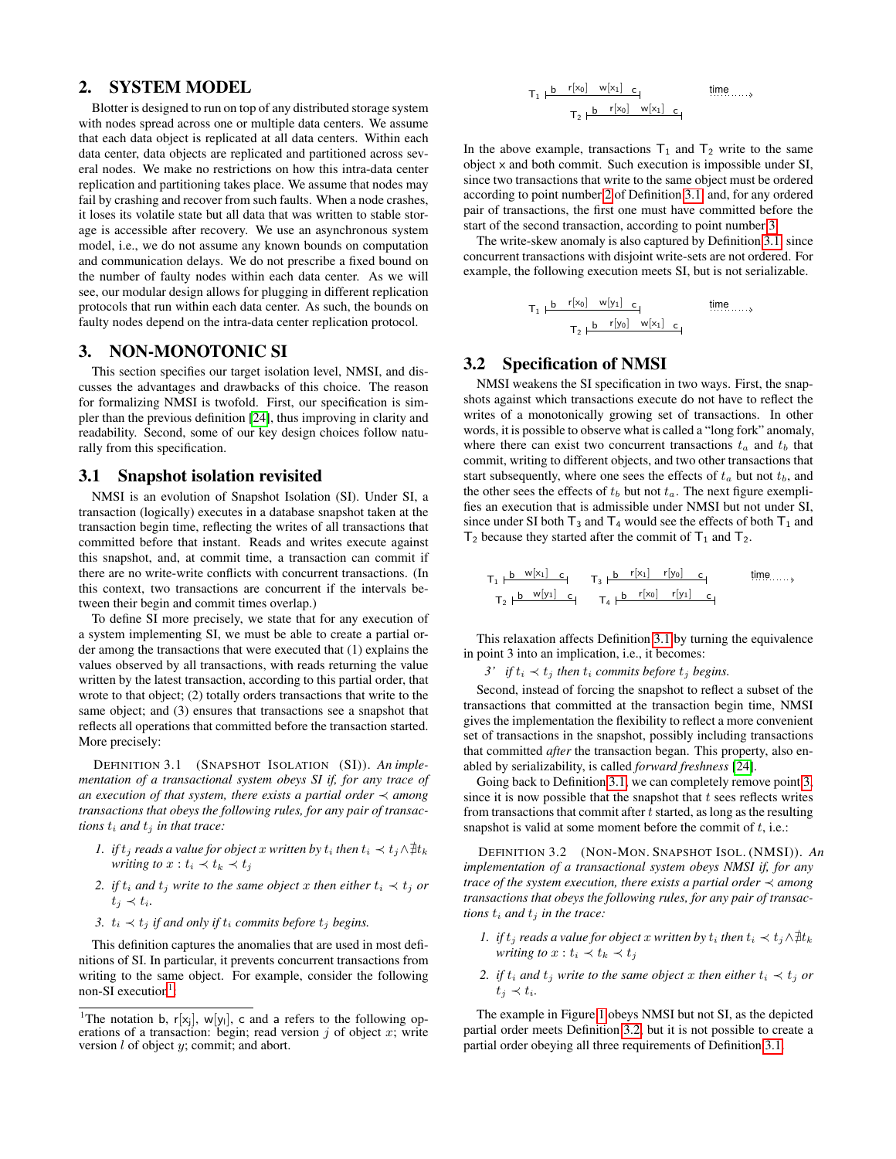#### 2. SYSTEM MODEL

Blotter is designed to run on top of any distributed storage system with nodes spread across one or multiple data centers. We assume that each data object is replicated at all data centers. Within each data center, data objects are replicated and partitioned across several nodes. We make no restrictions on how this intra-data center replication and partitioning takes place. We assume that nodes may fail by crashing and recover from such faults. When a node crashes, it loses its volatile state but all data that was written to stable storage is accessible after recovery. We use an asynchronous system model, i.e., we do not assume any known bounds on computation and communication delays. We do not prescribe a fixed bound on the number of faulty nodes within each data center. As we will see, our modular design allows for plugging in different replication protocols that run within each data center. As such, the bounds on faulty nodes depend on the intra-data center replication protocol.

#### 3. NON-MONOTONIC SI

This section specifies our target isolation level, NMSI, and discusses the advantages and drawbacks of this choice. The reason for formalizing NMSI is twofold. First, our specification is simpler than the previous definition [\[24\]](#page-9-6), thus improving in clarity and readability. Second, some of our key design choices follow naturally from this specification.

#### 3.1 Snapshot isolation revisited

NMSI is an evolution of Snapshot Isolation (SI). Under SI, a transaction (logically) executes in a database snapshot taken at the transaction begin time, reflecting the writes of all transactions that committed before that instant. Reads and writes execute against this snapshot, and, at commit time, a transaction can commit if there are no write-write conflicts with concurrent transactions. (In this context, two transactions are concurrent if the intervals between their begin and commit times overlap.)

To define SI more precisely, we state that for any execution of a system implementing SI, we must be able to create a partial order among the transactions that were executed that (1) explains the values observed by all transactions, with reads returning the value written by the latest transaction, according to this partial order, that wrote to that object; (2) totally orders transactions that write to the same object; and (3) ensures that transactions see a snapshot that reflects all operations that committed before the transaction started. More precisely:

<span id="page-1-2"></span>DEFINITION 3.1 (SNAPSHOT ISOLATION (SI)). *An implementation of a transactional system obeys SI if, for any trace of an execution of that system, there exists a partial order*  $\prec$  *among transactions that obeys the following rules, for any pair of transactions*  $t_i$  *and*  $t_j$  *in that trace:* 

- *1. if*  $t_i$  *reads a value for object* x *written by*  $t_i$  *then*  $t_i \prec t_i \wedge \exists t_k$ *writing to*  $x : t_i \prec t_k \prec t_j$
- <span id="page-1-1"></span>*2. if*  $t_i$  *and*  $t_j$  *write to the same object* x *then either*  $t_i \prec t_j$  *or*  $t_j \prec t_i$ .
- <span id="page-1-3"></span>*3.*  $t_i \prec t_j$  *if and only if*  $t_i$  *commits before*  $t_j$  *begins.*

This definition captures the anomalies that are used in most definitions of SI. In particular, it prevents concurrent transactions from writing to the same object. For example, consider the following non-SI execution<sup>[1](#page-1-0)</sup>:

$$
\mathsf{T}_1 \downarrow \frac{\mathsf{b} \quad \mathsf{r}[\mathsf{x}_0] \quad \mathsf{w}[\mathsf{x}_1] \quad \mathsf{c}}{\mathsf{T}_2 \downarrow \mathsf{b} \quad \mathsf{r}[\mathsf{x}_0] \quad \mathsf{w}[\mathsf{x}_1] \quad \mathsf{c}} \qquad \text{time} \dots
$$

 $\cdot$   $\rightarrow$ 

In the above example, transactions  $T_1$  and  $T_2$  write to the same object x and both commit. Such execution is impossible under SI, since two transactions that write to the same object must be ordered according to point number [2](#page-1-1) of Definition [3.1,](#page-1-2) and, for any ordered pair of transactions, the first one must have committed before the start of the second transaction, according to point number [3.](#page-1-3)

The write-skew anomaly is also captured by Definition [3.1,](#page-1-2) since concurrent transactions with disjoint write-sets are not ordered. For example, the following execution meets SI, but is not serializable.

$$
T_1 \xrightarrow{b \quad r[x_0] \quad w[y_1] \quad c} \qquad \text{time} \dots,
$$

$$
T_2 \xrightarrow{b \quad r[y_0] \quad w[x_1] \quad c}
$$

#### 3.2 Specification of NMSI

NMSI weakens the SI specification in two ways. First, the snapshots against which transactions execute do not have to reflect the writes of a monotonically growing set of transactions. In other words, it is possible to observe what is called a "long fork" anomaly, where there can exist two concurrent transactions  $t_a$  and  $t_b$  that commit, writing to different objects, and two other transactions that start subsequently, where one sees the effects of  $t_a$  but not  $t_b$ , and the other sees the effects of  $t_b$  but not  $t_a$ . The next figure exemplifies an execution that is admissible under NMSI but not under SI, since under SI both  $T_3$  and  $T_4$  would see the effects of both  $T_1$  and  $T_2$  because they started after the commit of  $T_1$  and  $T_2$ .

$$
\begin{array}{ccc}\nT_1 \downarrow b & w[x_1] & c \\
T_2 \downarrow b & w[y_1] & c \\
T_3 \downarrow b & r[x_2] & r[y_2] & c \\
T_4 \downarrow b & r[x_3] & r[y_1] & c \\
T_5 \downarrow b & r[x_2] & r[y_2] & c \\
T_6 \downarrow b & r[x_3] & r[y_3] & c \\
T_7 \downarrow b & r[x_4] & r[x_4] & c \\
T_8 \downarrow b & r[x_6] & r[x_7] & c \\
T_9 \downarrow b & r[x_8] & r[x_9] & c \\
T_1 \downarrow b & r[x_9] & r[x_1] & c \\
T_2 \downarrow b & r[x_1] & c \\
T_3 \downarrow b & r[x_2] & r[x_3] & c \\
T_4 \downarrow b & r[x_3] & r[x_4] & c \\
T_5 \downarrow b & r[x_4] & r[x_5] & c \\
T_6 \downarrow b & r[x_6] & r[x_7] & c \\
T_7 \downarrow b & r[x_7] & c \\
T_8 \downarrow b & r[x_7] & c \\
T_9 \downarrow c & r[x_8] & c \\
T_1 \downarrow c & r[x_9] & c \\
T_1 \downarrow c & r[x_1] & c \\
T_2 \downarrow c & r[x_1] & c \\
T_3 \downarrow c & r[x_2] & c \\
T_4 \downarrow c & r[x_3] & c \\
T_5 \downarrow c & r[x_3] & c \\
T_6 \downarrow c & r[x_3] & c \\
T_7 \downarrow c & r[x_3] & c \\
T_8 \downarrow c & r[x_3] & c \\
T_9 \downarrow c & r[x_3] & c \\
T_1 \downarrow c & r[x_3] & c \\
T_1 \downarrow c & r[x_3] & c \\
T_2 \downarrow c & r[x_3] & c \\
T_3 \downarrow c & r[x_3] & c \\
T_4 \downarrow d & r[x_3] &
$$

This relaxation affects Definition [3.1](#page-1-2) by turning the equivalence in point 3 into an implication, i.e., it becomes:

*3'* if  $t_i \nightharpoonup t_j$  *then*  $t_i$  *commits before*  $t_j$  *begins.* 

Second, instead of forcing the snapshot to reflect a subset of the transactions that committed at the transaction begin time, NMSI gives the implementation the flexibility to reflect a more convenient set of transactions in the snapshot, possibly including transactions that committed *after* the transaction began. This property, also enabled by serializability, is called *forward freshness* [\[24\]](#page-9-6).

Going back to Definition [3.1,](#page-1-2) we can completely remove point [3,](#page-1-3) since it is now possible that the snapshot that  $t$  sees reflects writes from transactions that commit after  $t$  started, as long as the resulting snapshot is valid at some moment before the commit of  $t$ , i.e.:

<span id="page-1-4"></span>DEFINITION 3.2 (NON-MON. SNAPSHOT ISOL. (NMSI)). *An implementation of a transactional system obeys NMSI if, for any trace of the system execution, there exists a partial order*  $\prec$  *among transactions that obeys the following rules, for any pair of transactions*  $t_i$  *and*  $t_j$  *in the trace:* 

- <span id="page-1-5"></span>*1. if*  $t_j$  *reads a value for object* x *written by*  $t_i$  *then*  $t_i \prec t_j \wedge \exists t_k$ *writing to*  $x : t_i \prec t_k \prec t_j$
- <span id="page-1-6"></span>*2. if*  $t_i$  *and*  $t_j$  *write to the same object* x *then either*  $t_i \prec t_j$  *or*  $t_j \prec t_i$ .

The example in Figure [1](#page-2-0) obeys NMSI but not SI, as the depicted partial order meets Definition [3.2,](#page-1-4) but it is not possible to create a partial order obeying all three requirements of Definition [3.1.](#page-1-2)

<span id="page-1-0"></span><sup>&</sup>lt;sup>1</sup>The notation b,  $r[x_j]$ ,  $w[y_i]$ , c and a refers to the following operations of a transaction: begin; read version  $j$  of object  $x$ ; write version  $l$  of object  $y$ ; commit; and abort.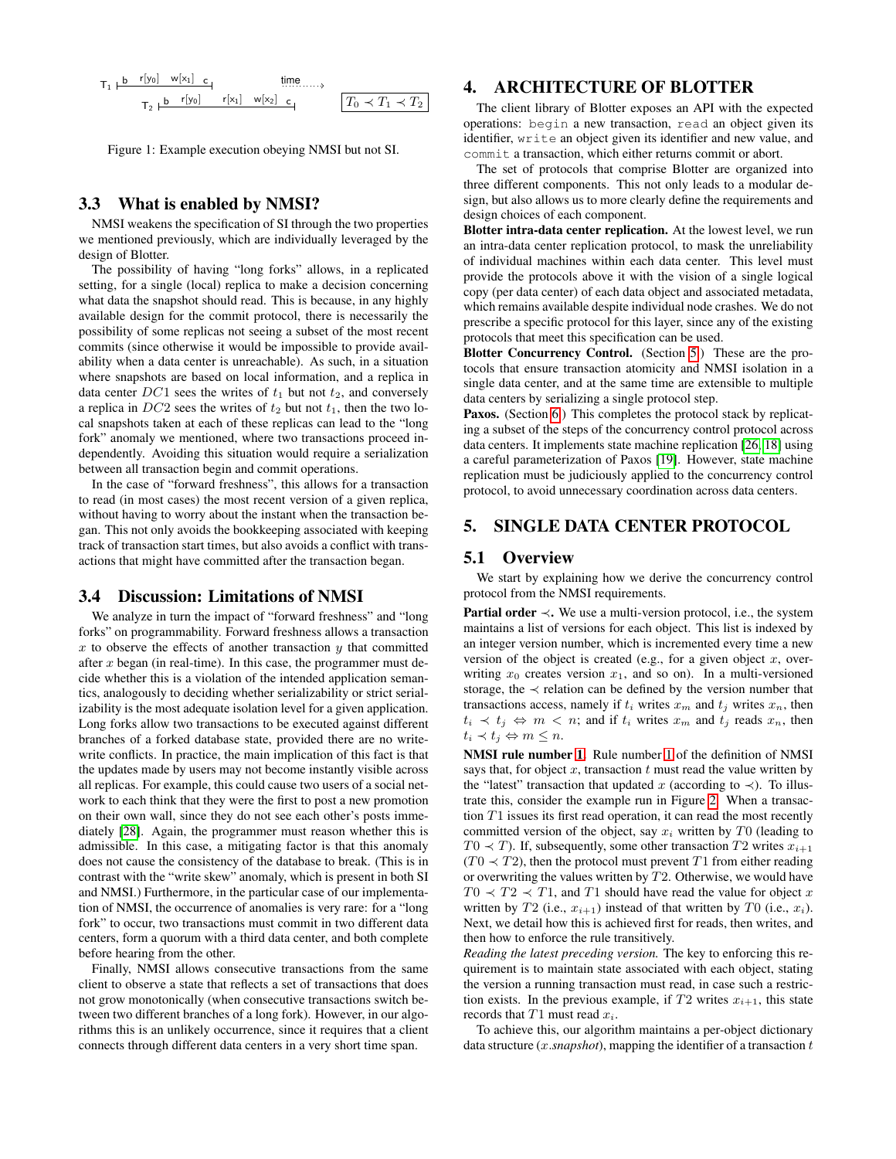<span id="page-2-0"></span>
$$
\mathsf{T}_1 \xrightarrow{\mathsf{b} \quad \mathsf{r}[y_0] \quad \mathsf{w}[x_1] \quad \mathsf{c}} \qquad \qquad \mathsf{time} \dots, \\
\mathsf{T}_2 \xrightarrow{\mathsf{b} \quad \mathsf{r}[y_0] \quad \mathsf{r}[x_1] \quad \mathsf{w}[x_2] \quad \mathsf{c}} \qquad \qquad \boxed{T_0 \prec T_1 \prec T_2}
$$

Figure 1: Example execution obeying NMSI but not SI.

#### 3.3 What is enabled by NMSI?

NMSI weakens the specification of SI through the two properties we mentioned previously, which are individually leveraged by the design of Blotter.

The possibility of having "long forks" allows, in a replicated setting, for a single (local) replica to make a decision concerning what data the snapshot should read. This is because, in any highly available design for the commit protocol, there is necessarily the possibility of some replicas not seeing a subset of the most recent commits (since otherwise it would be impossible to provide availability when a data center is unreachable). As such, in a situation where snapshots are based on local information, and a replica in data center  $DC1$  sees the writes of  $t_1$  but not  $t_2$ , and conversely a replica in  $DC2$  sees the writes of  $t_2$  but not  $t_1$ , then the two local snapshots taken at each of these replicas can lead to the "long fork" anomaly we mentioned, where two transactions proceed independently. Avoiding this situation would require a serialization between all transaction begin and commit operations.

In the case of "forward freshness", this allows for a transaction to read (in most cases) the most recent version of a given replica, without having to worry about the instant when the transaction began. This not only avoids the bookkeeping associated with keeping track of transaction start times, but also avoids a conflict with transactions that might have committed after the transaction began.

#### 3.4 Discussion: Limitations of NMSI

We analyze in turn the impact of "forward freshness" and "long forks" on programmability. Forward freshness allows a transaction x to observe the effects of another transaction  $y$  that committed after  $x$  began (in real-time). In this case, the programmer must decide whether this is a violation of the intended application semantics, analogously to deciding whether serializability or strict serializability is the most adequate isolation level for a given application. Long forks allow two transactions to be executed against different branches of a forked database state, provided there are no writewrite conflicts. In practice, the main implication of this fact is that the updates made by users may not become instantly visible across all replicas. For example, this could cause two users of a social network to each think that they were the first to post a new promotion on their own wall, since they do not see each other's posts immediately [\[28\]](#page-9-5). Again, the programmer must reason whether this is admissible. In this case, a mitigating factor is that this anomaly does not cause the consistency of the database to break. (This is in contrast with the "write skew" anomaly, which is present in both SI and NMSI.) Furthermore, in the particular case of our implementation of NMSI, the occurrence of anomalies is very rare: for a "long fork" to occur, two transactions must commit in two different data centers, form a quorum with a third data center, and both complete before hearing from the other.

Finally, NMSI allows consecutive transactions from the same client to observe a state that reflects a set of transactions that does not grow monotonically (when consecutive transactions switch between two different branches of a long fork). However, in our algorithms this is an unlikely occurrence, since it requires that a client connects through different data centers in a very short time span.

## 4. ARCHITECTURE OF BLOTTER

The client library of Blotter exposes an API with the expected operations: begin a new transaction, read an object given its identifier, write an object given its identifier and new value, and commit a transaction, which either returns commit or abort.

The set of protocols that comprise Blotter are organized into three different components. This not only leads to a modular design, but also allows us to more clearly define the requirements and design choices of each component.

Blotter intra-data center replication. At the lowest level, we run an intra-data center replication protocol, to mask the unreliability of individual machines within each data center. This level must provide the protocols above it with the vision of a single logical copy (per data center) of each data object and associated metadata, which remains available despite individual node crashes. We do not prescribe a specific protocol for this layer, since any of the existing protocols that meet this specification can be used.

Blotter Concurrency Control. (Section [5.](#page-2-1)) These are the protocols that ensure transaction atomicity and NMSI isolation in a single data center, and at the same time are extensible to multiple data centers by serializing a single protocol step.

Paxos. (Section [6.](#page-4-0)) This completes the protocol stack by replicating a subset of the steps of the concurrency control protocol across data centers. It implements state machine replication [\[26,](#page-9-16) [18\]](#page-9-17) using a careful parameterization of Paxos [\[19\]](#page-9-18). However, state machine replication must be judiciously applied to the concurrency control protocol, to avoid unnecessary coordination across data centers.

## <span id="page-2-1"></span>5. SINGLE DATA CENTER PROTOCOL

#### <span id="page-2-2"></span>5.1 Overview

We start by explaining how we derive the concurrency control protocol from the NMSI requirements.

**Partial order**  $\prec$ **.** We use a multi-version protocol, i.e., the system maintains a list of versions for each object. This list is indexed by an integer version number, which is incremented every time a new version of the object is created (e.g., for a given object  $x$ , overwriting  $x_0$  creates version  $x_1$ , and so on). In a multi-versioned storage, the  $\prec$  relation can be defined by the version number that transactions access, namely if  $t_i$  writes  $x_m$  and  $t_j$  writes  $x_n$ , then  $t_i \prec t_j \Leftrightarrow m \prec n$ ; and if  $t_i$  writes  $x_m$  and  $t_j$  reads  $x_n$ , then  $t_i \prec t_j \Leftrightarrow m \leq n$ .

NMSI rule number [1.](#page-1-5) Rule number [1](#page-1-5) of the definition of NMSI says that, for object x, transaction t must read the value written by the "latest" transaction that updated x (according to  $\prec$ ). To illustrate this, consider the example run in Figure [2.](#page-3-0) When a transaction T1 issues its first read operation, it can read the most recently committed version of the object, say  $x_i$  written by T0 (leading to  $T0 \prec T$ ). If, subsequently, some other transaction T2 writes  $x_{i+1}$  $(T0 \prec T2)$ , then the protocol must prevent T1 from either reading or overwriting the values written by T2. Otherwise, we would have  $T0 \prec T2 \prec T1$ , and T1 should have read the value for object x written by T2 (i.e.,  $x_{i+1}$ ) instead of that written by T0 (i.e.,  $x_i$ ). Next, we detail how this is achieved first for reads, then writes, and then how to enforce the rule transitively.

*Reading the latest preceding version.* The key to enforcing this requirement is to maintain state associated with each object, stating the version a running transaction must read, in case such a restriction exists. In the previous example, if  $T2$  writes  $x_{i+1}$ , this state records that  $T1$  must read  $x_i$ .

To achieve this, our algorithm maintains a per-object dictionary data structure  $(x.\n snapshot)$ , mapping the identifier of a transaction  $t$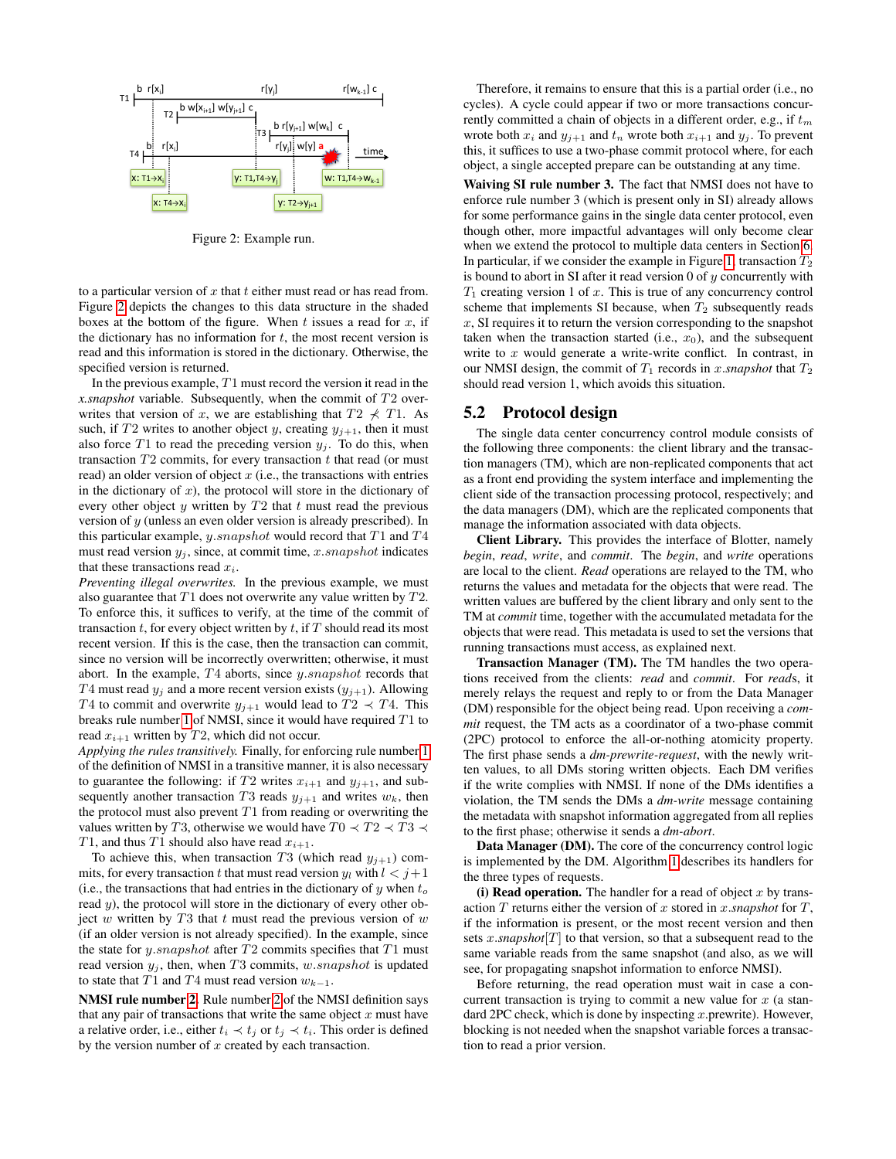<span id="page-3-0"></span>

Figure 2: Example run.

to a particular version of  $x$  that  $t$  either must read or has read from. Figure [2](#page-3-0) depicts the changes to this data structure in the shaded boxes at the bottom of the figure. When  $t$  issues a read for  $x$ , if the dictionary has no information for  $t$ , the most recent version is read and this information is stored in the dictionary. Otherwise, the specified version is returned.

In the previous example, T1 must record the version it read in the *x.snapshot* variable. Subsequently, when the commit of T2 overwrites that version of x, we are establishing that  $T2 \nless T1$ . As such, if T2 writes to another object y, creating  $y_{j+1}$ , then it must also force  $T1$  to read the preceding version  $y_j$ . To do this, when transaction  $T2$  commits, for every transaction  $t$  that read (or must read) an older version of object  $x$  (i.e., the transactions with entries in the dictionary of  $x$ ), the protocol will store in the dictionary of every other object  $y$  written by  $T2$  that  $t$  must read the previous version of y (unless an even older version is already prescribed). In this particular example, y.snapshot would record that  $T1$  and  $T4$ must read version  $y_i$ , since, at commit time, x.snapshot indicates that these transactions read  $x_i$ .

*Preventing illegal overwrites.* In the previous example, we must also guarantee that  $T1$  does not overwrite any value written by  $T2$ . To enforce this, it suffices to verify, at the time of the commit of transaction  $t$ , for every object written by  $t$ , if  $T$  should read its most recent version. If this is the case, then the transaction can commit, since no version will be incorrectly overwritten; otherwise, it must abort. In the example, T4 aborts, since y.snapshot records that T4 must read  $y_i$  and a more recent version exists  $(y_{i+1})$ . Allowing T4 to commit and overwrite  $y_{j+1}$  would lead to  $T2 \prec T4$ . This breaks rule number [1](#page-1-5) of NMSI, since it would have required T1 to read  $x_{i+1}$  written by  $T2$ , which did not occur.

*Applying the rules transitively.* Finally, for enforcing rule number [1](#page-1-5) of the definition of NMSI in a transitive manner, it is also necessary to guarantee the following: if T2 writes  $x_{i+1}$  and  $y_{j+1}$ , and subsequently another transaction T3 reads  $y_{j+1}$  and writes  $w_k$ , then the protocol must also prevent  $T1$  from reading or overwriting the values written by T3, otherwise we would have  $T0 \prec T2 \prec T3 \prec$ T1, and thus T1 should also have read  $x_{i+1}$ .

To achieve this, when transaction T3 (which read  $y_{j+1}$ ) commits, for every transaction t that must read version  $y_l$  with  $l < j+1$ (i.e., the transactions that had entries in the dictionary of  $\gamma$  when  $t_o$ read  $y$ ), the protocol will store in the dictionary of every other object  $w$  written by  $T3$  that  $t$  must read the previous version of  $w$ (if an older version is not already specified). In the example, since the state for *y*.snapshot after  $T2$  commits specifies that  $T1$  must read version  $y_i$ , then, when T3 commits, w.snapshot is updated to state that T1 and T4 must read version  $w_{k-1}$ .

NMSI rule number [2.](#page-1-6) Rule number [2](#page-1-6) of the NMSI definition says that any pair of transactions that write the same object  $x$  must have a relative order, i.e., either  $t_i \prec t_j$  or  $t_j \prec t_i$ . This order is defined by the version number of  $x$  created by each transaction.

Therefore, it remains to ensure that this is a partial order (i.e., no cycles). A cycle could appear if two or more transactions concurrently committed a chain of objects in a different order, e.g., if  $t_m$ wrote both  $x_i$  and  $y_{j+1}$  and  $t_n$  wrote both  $x_{i+1}$  and  $y_j$ . To prevent this, it suffices to use a two-phase commit protocol where, for each object, a single accepted prepare can be outstanding at any time.

Waiving SI rule number 3. The fact that NMSI does not have to enforce rule number 3 (which is present only in SI) already allows for some performance gains in the single data center protocol, even though other, more impactful advantages will only become clear when we extend the protocol to multiple data centers in Section [6.](#page-4-0) In particular, if we consider the example in Figure [1,](#page-2-0) transaction  $T_2$ is bound to abort in SI after it read version 0 of  $y$  concurrently with  $T_1$  creating version 1 of x. This is true of any concurrency control scheme that implements SI because, when  $T_2$  subsequently reads  $x$ , SI requires it to return the version corresponding to the snapshot taken when the transaction started (i.e.,  $x_0$ ), and the subsequent write to  $x$  would generate a write-write conflict. In contrast, in our NMSI design, the commit of  $T_1$  records in x.snapshot that  $T_2$ should read version 1, which avoids this situation.

#### 5.2 Protocol design

The single data center concurrency control module consists of the following three components: the client library and the transaction managers (TM), which are non-replicated components that act as a front end providing the system interface and implementing the client side of the transaction processing protocol, respectively; and the data managers (DM), which are the replicated components that manage the information associated with data objects.

Client Library. This provides the interface of Blotter, namely *begin*, *read*, *write*, and *commit*. The *begin*, and *write* operations are local to the client. *Read* operations are relayed to the TM, who returns the values and metadata for the objects that were read. The written values are buffered by the client library and only sent to the TM at *commit* time, together with the accumulated metadata for the objects that were read. This metadata is used to set the versions that running transactions must access, as explained next.

Transaction Manager (TM). The TM handles the two operations received from the clients: *read* and *commit*. For *read*s, it merely relays the request and reply to or from the Data Manager (DM) responsible for the object being read. Upon receiving a *commit* request, the TM acts as a coordinator of a two-phase commit (2PC) protocol to enforce the all-or-nothing atomicity property. The first phase sends a *dm-prewrite-request*, with the newly written values, to all DMs storing written objects. Each DM verifies if the write complies with NMSI. If none of the DMs identifies a violation, the TM sends the DMs a *dm-write* message containing the metadata with snapshot information aggregated from all replies to the first phase; otherwise it sends a *dm-abort*.

Data Manager (DM). The core of the concurrency control logic is implemented by the DM. Algorithm [1](#page-4-1) describes its handlers for the three types of requests.

(i) Read operation. The handler for a read of object  $x$  by transaction T returns either the version of x stored in x.*snapshot* for T, if the information is present, or the most recent version and then sets x.snapshot  $[T]$  to that version, so that a subsequent read to the same variable reads from the same snapshot (and also, as we will see, for propagating snapshot information to enforce NMSI).

Before returning, the read operation must wait in case a concurrent transaction is trying to commit a new value for  $x$  (a standard 2PC check, which is done by inspecting  $x$  prewrite). However, blocking is not needed when the snapshot variable forces a transaction to read a prior version.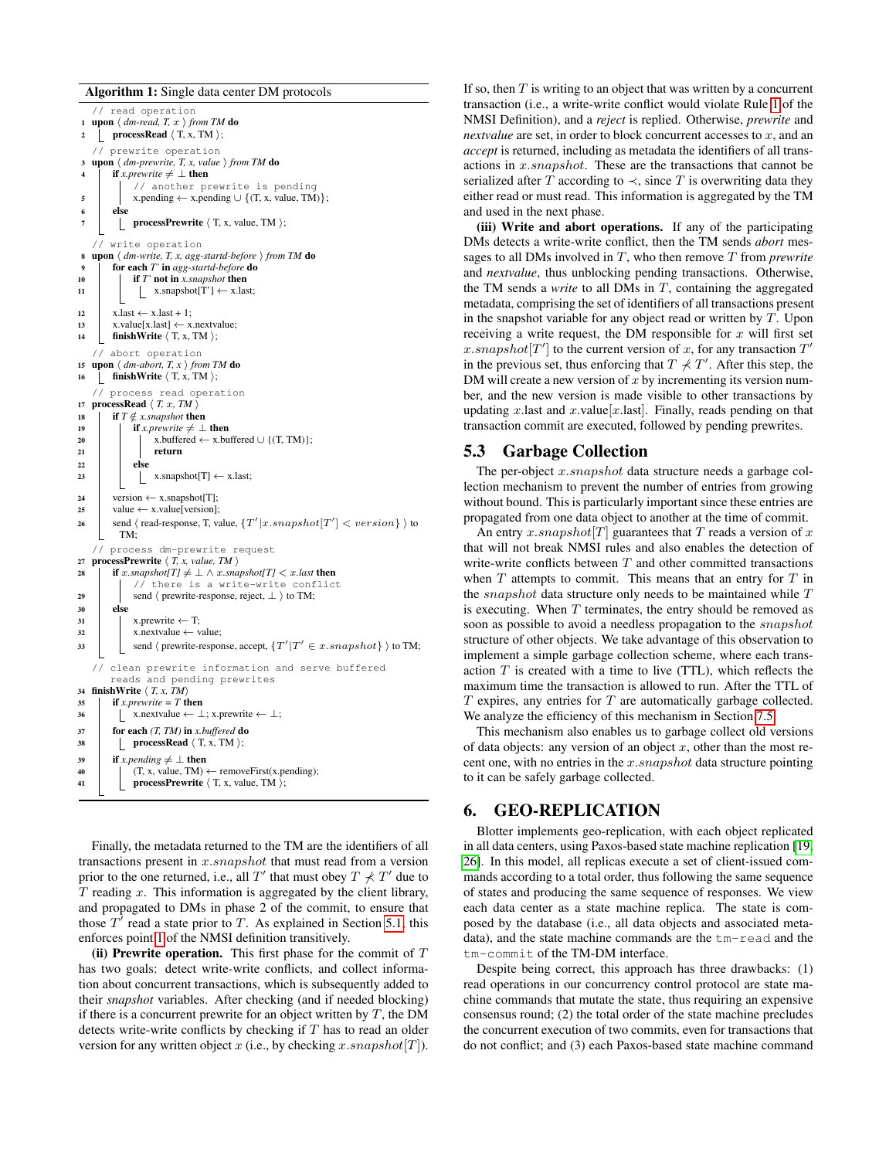#### Algorithm 1: Single data center DM protocols

```
// read operation
   upon \langle dm\text{-}read, T, x \rangle from TM do
2 | processRead \langle T, x, TM \rangle;
    // prewrite operation
3 upon \langle dm\text{-}prewrite, T, x, value \rangle from TM do
4 if x.prewrite \neq \perp then
                // another prewrite is pending
5 x.pending ← x.pending \cup {(T, x, value, TM)};
6 else
7 processPrewrite \langle T, x, value, TM \rangle;
    // write operation
8 upon \langle dm\text{-}write, T, x, agg\text{-}startd\text{-}before \rangle from TM do
9 for each T' in agg-startd-before do
10 if T' not in x.snapshot then
11 | | \Box x.snapshot[T'] \leftarrow x.last;
12 \quad x \cdot \text{last} \leftarrow x \cdot \text{last} + 1;
13 \vert x.value[x.last] \leftarrow x.nextvalue;
14 \int finishWrite \langle T, x, TM \rangle;
    // abort operation
15 upon \langle dm\text{-}abort, T, x \rangle from TM do
16 finish Write \langle T, x, TM \rangle;
       process read operation
17 processRead \langle T, x, TM \rangle18 if T \notin x snapshot then
19 if x.prewrite \neq \perp then<br>
\downarrow x.buffered \leftarrow x.bu
                   x.bufficient \leftarrow x.bufficient \cup \{(T, TM)\};21 return
22 else
23 | | | x.snapshot[T] \leftarrow x.last;
24 version \leftarrow x.snapshot[T];
25 value \leftarrow x.value[version];
26 send \{ read-response, T, value, \{T'|x \cdot snapshot[T'] \leq version\} to
          TM;
    // process dm-prewrite request
27 processPrewrite \langle T, x, value, TM \rangle28 if x<sub>.snapshot[T] \neq \bot \land x.snapshot[T] \lt x.last then</sub>
              // there is a write-write conflict
29 \vert send \langle prewrite-response, reject, \bot \rangle to TM;
30 else
31 | x.prewrite \leftarrow T;
32 \quad | \quad x \text{.} \text{nextvalue} \leftarrow \text{value};33 send \langle prewrite-response, accept, \{T'|T' \in x.\n    snapshot\} \rangle to TM;
    // clean prewrite information and serve buffered
        reads and pending prewrites
34 finish Write \langle T, x, TM \rangle35 if x.prewrite = T then<br>36 x.nextvalue \leftarrow\perp x.nextvalue ← ⊥; x.prewrite ← ⊥;
37 for each (T, TM) in x.buffered do
38 processRead \langle T, x, TM \rangle;
39 if x.pending \neq \perp then
40 \left| \right| (T, x, value, TM) \leftarrow removeFirst(x.pending);41 processPrewrite \langle T, x, value, TM \rangle;
```
Finally, the metadata returned to the TM are the identifiers of all transactions present in  $x$ .snapshot that must read from a version prior to the one returned, i.e., all T' that must obey  $T \nmid T'$  due to  $T$  reading  $x$ . This information is aggregated by the client library, and propagated to DMs in phase 2 of the commit, to ensure that those  $T<sup>7</sup>$  read a state prior to T. As explained in Section [5.1,](#page-2-2) this enforces point [1](#page-1-5) of the NMSI definition transitively.

(ii) Prewrite operation. This first phase for the commit of  $T$ has two goals: detect write-write conflicts, and collect information about concurrent transactions, which is subsequently added to their *snapshot* variables. After checking (and if needed blocking) if there is a concurrent prewrite for an object written by  $T$ , the DM detects write-write conflicts by checking if  $T$  has to read an older version for any written object x (i.e., by checking x.snapshot[T]). If so, then  $T$  is writing to an object that was written by a concurrent transaction (i.e., a write-write conflict would violate Rule [1](#page-1-5) of the NMSI Definition), and a *reject* is replied. Otherwise, *prewrite* and *nextvalue* are set, in order to block concurrent accesses to  $x$ , and an *accept* is returned, including as metadata the identifiers of all transactions in x.snapshot. These are the transactions that cannot be serialized after T according to  $\prec$ , since T is overwriting data they either read or must read. This information is aggregated by the TM and used in the next phase.

(iii) Write and abort operations. If any of the participating DMs detects a write-write conflict, then the TM sends *abort* messages to all DMs involved in T, who then remove T from *prewrite* and *nextvalue*, thus unblocking pending transactions. Otherwise, the TM sends a *write* to all DMs in T, containing the aggregated metadata, comprising the set of identifiers of all transactions present in the snapshot variable for any object read or written by  $T$ . Upon receiving a write request, the DM responsible for  $x$  will first set x.snapshot[T'] to the current version of x, for any transaction  $T'$ in the previous set, thus enforcing that  $T \nless T'$ . After this step, the DM will create a new version of  $x$  by incrementing its version number, and the new version is made visible to other transactions by updating x.last and x.value[x.last]. Finally, reads pending on that transaction commit are executed, followed by pending prewrites.

#### 5.3 Garbage Collection

The per-object x.snapshot data structure needs a garbage collection mechanism to prevent the number of entries from growing without bound. This is particularly important since these entries are propagated from one data object to another at the time of commit.

An entry x.snapshot [T] guarantees that T reads a version of x that will not break NMSI rules and also enables the detection of write-write conflicts between  $T$  and other committed transactions when  $T$  attempts to commit. This means that an entry for  $T$  in the  $snapshot$  data structure only needs to be maintained while  $T$ is executing. When  $T$  terminates, the entry should be removed as soon as possible to avoid a needless propagation to the snapshot structure of other objects. We take advantage of this observation to implement a simple garbage collection scheme, where each transaction  $T$  is created with a time to live (TTL), which reflects the maximum time the transaction is allowed to run. After the TTL of  $T$  expires, any entries for  $T$  are automatically garbage collected. We analyze the efficiency of this mechanism in Section [7.5.](#page-7-0)

This mechanism also enables us to garbage collect old versions of data objects: any version of an object  $x$ , other than the most recent one, with no entries in the  $x$ . snapshot data structure pointing to it can be safely garbage collected.

## <span id="page-4-0"></span>6. GEO-REPLICATION

Blotter implements geo-replication, with each object replicated in all data centers, using Paxos-based state machine replication [\[19,](#page-9-18) [26\]](#page-9-16). In this model, all replicas execute a set of client-issued commands according to a total order, thus following the same sequence of states and producing the same sequence of responses. We view each data center as a state machine replica. The state is composed by the database (i.e., all data objects and associated metadata), and the state machine commands are the tm-read and the tm-commit of the TM-DM interface.

Despite being correct, this approach has three drawbacks: (1) read operations in our concurrency control protocol are state machine commands that mutate the state, thus requiring an expensive consensus round; (2) the total order of the state machine precludes the concurrent execution of two commits, even for transactions that do not conflict; and (3) each Paxos-based state machine command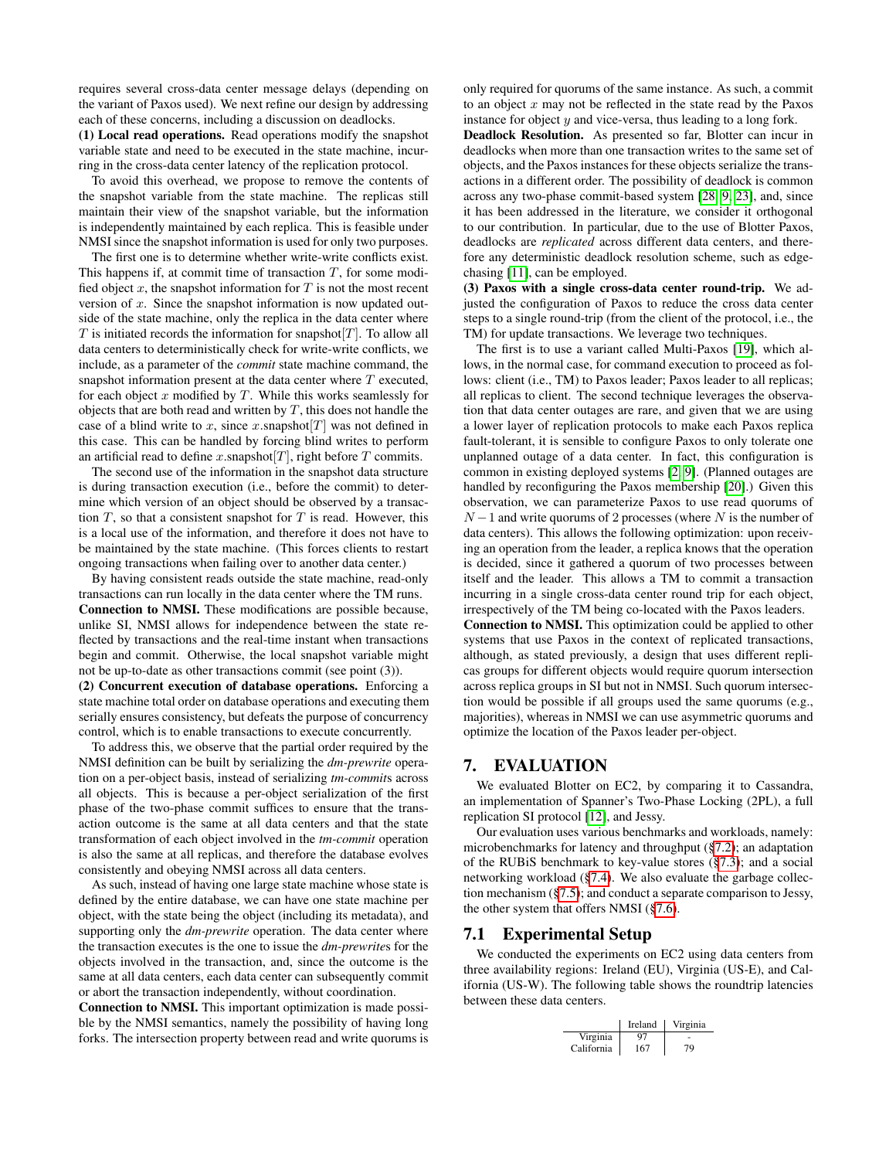requires several cross-data center message delays (depending on the variant of Paxos used). We next refine our design by addressing each of these concerns, including a discussion on deadlocks. (1) Local read operations. Read operations modify the snapshot variable state and need to be executed in the state machine, incurring in the cross-data center latency of the replication protocol.

To avoid this overhead, we propose to remove the contents of the snapshot variable from the state machine. The replicas still maintain their view of the snapshot variable, but the information is independently maintained by each replica. This is feasible under NMSI since the snapshot information is used for only two purposes.

The first one is to determine whether write-write conflicts exist. This happens if, at commit time of transaction  $T$ , for some modified object  $x$ , the snapshot information for  $T$  is not the most recent version of  $x$ . Since the snapshot information is now updated outside of the state machine, only the replica in the data center where T is initiated records the information for snapshot  $[T]$ . To allow all data centers to deterministically check for write-write conflicts, we include, as a parameter of the *commit* state machine command, the snapshot information present at the data center where  $T$  executed, for each object  $x$  modified by  $T$ . While this works seamlessly for objects that are both read and written by  $T$ , this does not handle the case of a blind write to x, since x.snapshot $[T]$  was not defined in this case. This can be handled by forcing blind writes to perform an artificial read to define x.snapshot $[T]$ , right before T commits.

The second use of the information in the snapshot data structure is during transaction execution (i.e., before the commit) to determine which version of an object should be observed by a transaction  $T$ , so that a consistent snapshot for  $T$  is read. However, this is a local use of the information, and therefore it does not have to be maintained by the state machine. (This forces clients to restart ongoing transactions when failing over to another data center.)

By having consistent reads outside the state machine, read-only transactions can run locally in the data center where the TM runs. Connection to NMSI. These modifications are possible because, unlike SI, NMSI allows for independence between the state reflected by transactions and the real-time instant when transactions begin and commit. Otherwise, the local snapshot variable might not be up-to-date as other transactions commit (see point (3)). (2) Concurrent execution of database operations. Enforcing a state machine total order on database operations and executing them serially ensures consistency, but defeats the purpose of concurrency control, which is to enable transactions to execute concurrently.

To address this, we observe that the partial order required by the NMSI definition can be built by serializing the *dm-prewrite* operation on a per-object basis, instead of serializing *tm-commit*s across all objects. This is because a per-object serialization of the first phase of the two-phase commit suffices to ensure that the transaction outcome is the same at all data centers and that the state transformation of each object involved in the *tm-commit* operation is also the same at all replicas, and therefore the database evolves consistently and obeying NMSI across all data centers.

As such, instead of having one large state machine whose state is defined by the entire database, we can have one state machine per object, with the state being the object (including its metadata), and supporting only the *dm-prewrite* operation. The data center where the transaction executes is the one to issue the *dm-prewrite*s for the objects involved in the transaction, and, since the outcome is the same at all data centers, each data center can subsequently commit or abort the transaction independently, without coordination.

Connection to NMSI. This important optimization is made possible by the NMSI semantics, namely the possibility of having long forks. The intersection property between read and write quorums is

only required for quorums of the same instance. As such, a commit to an object  $x$  may not be reflected in the state read by the Paxos instance for object  $y$  and vice-versa, thus leading to a long fork.

Deadlock Resolution. As presented so far, Blotter can incur in deadlocks when more than one transaction writes to the same set of objects, and the Paxos instances for these objects serialize the transactions in a different order. The possibility of deadlock is common across any two-phase commit-based system [\[28,](#page-9-5) [9,](#page-9-4) [23\]](#page-9-10), and, since it has been addressed in the literature, we consider it orthogonal to our contribution. In particular, due to the use of Blotter Paxos, deadlocks are *replicated* across different data centers, and therefore any deterministic deadlock resolution scheme, such as edgechasing [\[11\]](#page-9-19), can be employed.

(3) Paxos with a single cross-data center round-trip. We adjusted the configuration of Paxos to reduce the cross data center steps to a single round-trip (from the client of the protocol, i.e., the TM) for update transactions. We leverage two techniques.

The first is to use a variant called Multi-Paxos [\[19\]](#page-9-18), which allows, in the normal case, for command execution to proceed as follows: client (i.e., TM) to Paxos leader; Paxos leader to all replicas; all replicas to client. The second technique leverages the observation that data center outages are rare, and given that we are using a lower layer of replication protocols to make each Paxos replica fault-tolerant, it is sensible to configure Paxos to only tolerate one unplanned outage of a data center. In fact, this configuration is common in existing deployed systems [\[2,](#page-9-20) [9\]](#page-9-4). (Planned outages are handled by reconfiguring the Paxos membership [\[20\]](#page-9-21).) Given this observation, we can parameterize Paxos to use read quorums of  $N-1$  and write quorums of 2 processes (where N is the number of data centers). This allows the following optimization: upon receiving an operation from the leader, a replica knows that the operation is decided, since it gathered a quorum of two processes between itself and the leader. This allows a TM to commit a transaction incurring in a single cross-data center round trip for each object, irrespectively of the TM being co-located with the Paxos leaders.

Connection to NMSI. This optimization could be applied to other systems that use Paxos in the context of replicated transactions, although, as stated previously, a design that uses different replicas groups for different objects would require quorum intersection across replica groups in SI but not in NMSI. Such quorum intersection would be possible if all groups used the same quorums (e.g., majorities), whereas in NMSI we can use asymmetric quorums and optimize the location of the Paxos leader per-object.

### 7. EVALUATION

We evaluated Blotter on EC2, by comparing it to Cassandra, an implementation of Spanner's Two-Phase Locking (2PL), a full replication SI protocol [\[12\]](#page-9-15), and Jessy.

Our evaluation uses various benchmarks and workloads, namely: microbenchmarks for latency and throughput ([§7.2\)](#page-6-0); an adaptation of the RUBiS benchmark to key-value stores ([§7.3\)](#page-6-1); and a social networking workload ([§7.4\)](#page-7-1). We also evaluate the garbage collection mechanism ([§7.5\)](#page-7-0); and conduct a separate comparison to Jessy, the other system that offers NMSI ([§7.6\)](#page-7-2).

## 7.1 Experimental Setup

We conducted the experiments on EC2 using data centers from three availability regions: Ireland (EU), Virginia (US-E), and California (US-W). The following table shows the roundtrip latencies between these data centers.

|            | Ireland | Virginia |
|------------|---------|----------|
| Virginia   |         |          |
| California | 167     | 79.      |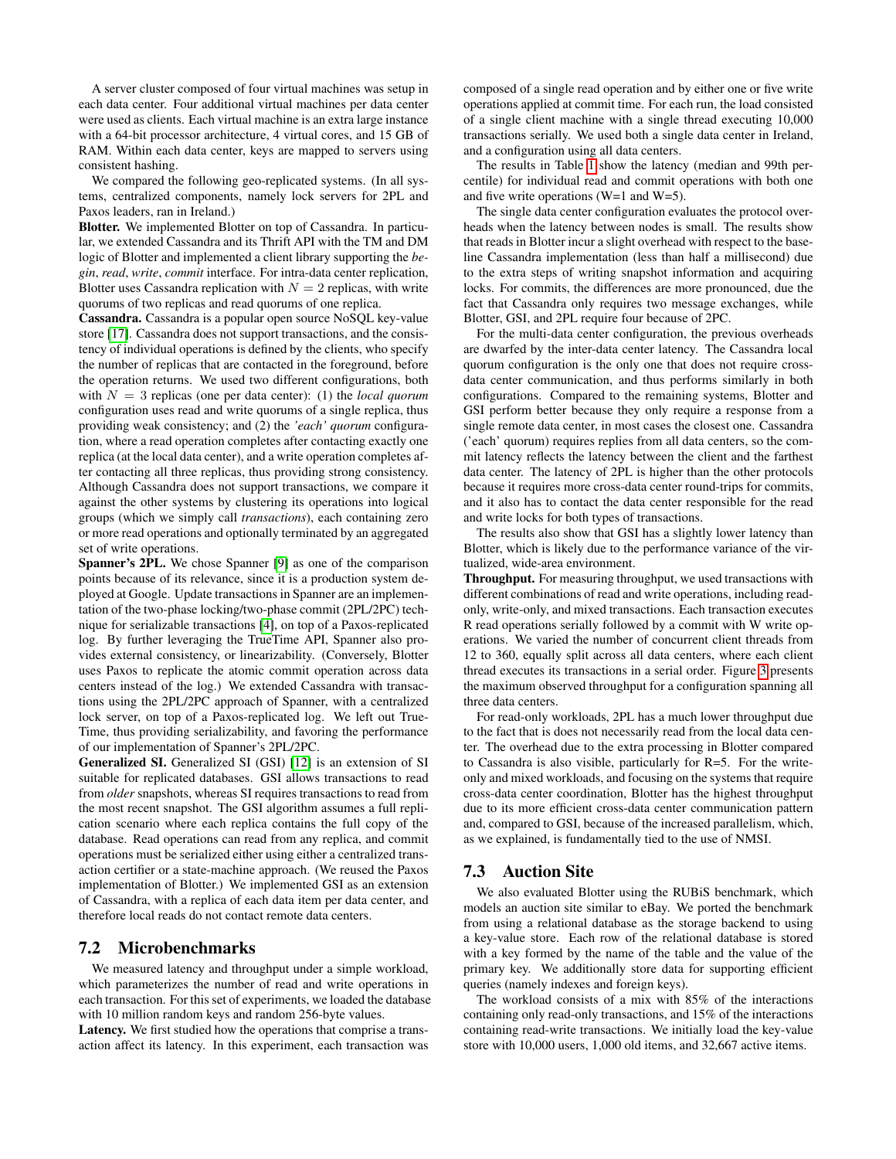A server cluster composed of four virtual machines was setup in each data center. Four additional virtual machines per data center were used as clients. Each virtual machine is an extra large instance with a 64-bit processor architecture, 4 virtual cores, and 15 GB of RAM. Within each data center, keys are mapped to servers using consistent hashing.

We compared the following geo-replicated systems. (In all systems, centralized components, namely lock servers for 2PL and Paxos leaders, ran in Ireland.)

Blotter. We implemented Blotter on top of Cassandra. In particular, we extended Cassandra and its Thrift API with the TM and DM logic of Blotter and implemented a client library supporting the *begin*, *read*, *write*, *commit* interface. For intra-data center replication, Blotter uses Cassandra replication with  $N = 2$  replicas, with write quorums of two replicas and read quorums of one replica.

Cassandra. Cassandra is a popular open source NoSQL key-value store [\[17\]](#page-9-14). Cassandra does not support transactions, and the consistency of individual operations is defined by the clients, who specify the number of replicas that are contacted in the foreground, before the operation returns. We used two different configurations, both with  $N = 3$  replicas (one per data center): (1) the *local quorum* configuration uses read and write quorums of a single replica, thus providing weak consistency; and (2) the *'each' quorum* configuration, where a read operation completes after contacting exactly one replica (at the local data center), and a write operation completes after contacting all three replicas, thus providing strong consistency. Although Cassandra does not support transactions, we compare it against the other systems by clustering its operations into logical groups (which we simply call *transactions*), each containing zero or more read operations and optionally terminated by an aggregated set of write operations.

Spanner's 2PL. We chose Spanner [\[9\]](#page-9-4) as one of the comparison points because of its relevance, since it is a production system deployed at Google. Update transactions in Spanner are an implementation of the two-phase locking/two-phase commit (2PL/2PC) technique for serializable transactions [\[4\]](#page-9-22), on top of a Paxos-replicated log. By further leveraging the TrueTime API, Spanner also provides external consistency, or linearizability. (Conversely, Blotter uses Paxos to replicate the atomic commit operation across data centers instead of the log.) We extended Cassandra with transactions using the 2PL/2PC approach of Spanner, with a centralized lock server, on top of a Paxos-replicated log. We left out True-Time, thus providing serializability, and favoring the performance of our implementation of Spanner's 2PL/2PC.

Generalized SI. Generalized SI (GSI) [\[12\]](#page-9-15) is an extension of SI suitable for replicated databases. GSI allows transactions to read from *older* snapshots, whereas SI requires transactions to read from the most recent snapshot. The GSI algorithm assumes a full replication scenario where each replica contains the full copy of the database. Read operations can read from any replica, and commit operations must be serialized either using either a centralized transaction certifier or a state-machine approach. (We reused the Paxos implementation of Blotter.) We implemented GSI as an extension of Cassandra, with a replica of each data item per data center, and therefore local reads do not contact remote data centers.

### <span id="page-6-0"></span>7.2 Microbenchmarks

We measured latency and throughput under a simple workload, which parameterizes the number of read and write operations in each transaction. For this set of experiments, we loaded the database with 10 million random keys and random 256-byte values.

Latency. We first studied how the operations that comprise a transaction affect its latency. In this experiment, each transaction was composed of a single read operation and by either one or five write operations applied at commit time. For each run, the load consisted of a single client machine with a single thread executing 10,000 transactions serially. We used both a single data center in Ireland, and a configuration using all data centers.

The results in Table [1](#page-7-3) show the latency (median and 99th percentile) for individual read and commit operations with both one and five write operations (W=1 and W=5).

The single data center configuration evaluates the protocol overheads when the latency between nodes is small. The results show that reads in Blotter incur a slight overhead with respect to the baseline Cassandra implementation (less than half a millisecond) due to the extra steps of writing snapshot information and acquiring locks. For commits, the differences are more pronounced, due the fact that Cassandra only requires two message exchanges, while Blotter, GSI, and 2PL require four because of 2PC.

For the multi-data center configuration, the previous overheads are dwarfed by the inter-data center latency. The Cassandra local quorum configuration is the only one that does not require crossdata center communication, and thus performs similarly in both configurations. Compared to the remaining systems, Blotter and GSI perform better because they only require a response from a single remote data center, in most cases the closest one. Cassandra ('each' quorum) requires replies from all data centers, so the commit latency reflects the latency between the client and the farthest data center. The latency of 2PL is higher than the other protocols because it requires more cross-data center round-trips for commits, and it also has to contact the data center responsible for the read and write locks for both types of transactions.

The results also show that GSI has a slightly lower latency than Blotter, which is likely due to the performance variance of the virtualized, wide-area environment.

Throughput. For measuring throughput, we used transactions with different combinations of read and write operations, including readonly, write-only, and mixed transactions. Each transaction executes R read operations serially followed by a commit with W write operations. We varied the number of concurrent client threads from 12 to 360, equally split across all data centers, where each client thread executes its transactions in a serial order. Figure [3](#page-7-4) presents the maximum observed throughput for a configuration spanning all three data centers.

For read-only workloads, 2PL has a much lower throughput due to the fact that is does not necessarily read from the local data center. The overhead due to the extra processing in Blotter compared to Cassandra is also visible, particularly for R=5. For the writeonly and mixed workloads, and focusing on the systems that require cross-data center coordination, Blotter has the highest throughput due to its more efficient cross-data center communication pattern and, compared to GSI, because of the increased parallelism, which, as we explained, is fundamentally tied to the use of NMSI.

#### <span id="page-6-1"></span>7.3 Auction Site

We also evaluated Blotter using the RUBiS benchmark, which models an auction site similar to eBay. We ported the benchmark from using a relational database as the storage backend to using a key-value store. Each row of the relational database is stored with a key formed by the name of the table and the value of the primary key. We additionally store data for supporting efficient queries (namely indexes and foreign keys).

The workload consists of a mix with 85% of the interactions containing only read-only transactions, and 15% of the interactions containing read-write transactions. We initially load the key-value store with 10,000 users, 1,000 old items, and 32,667 active items.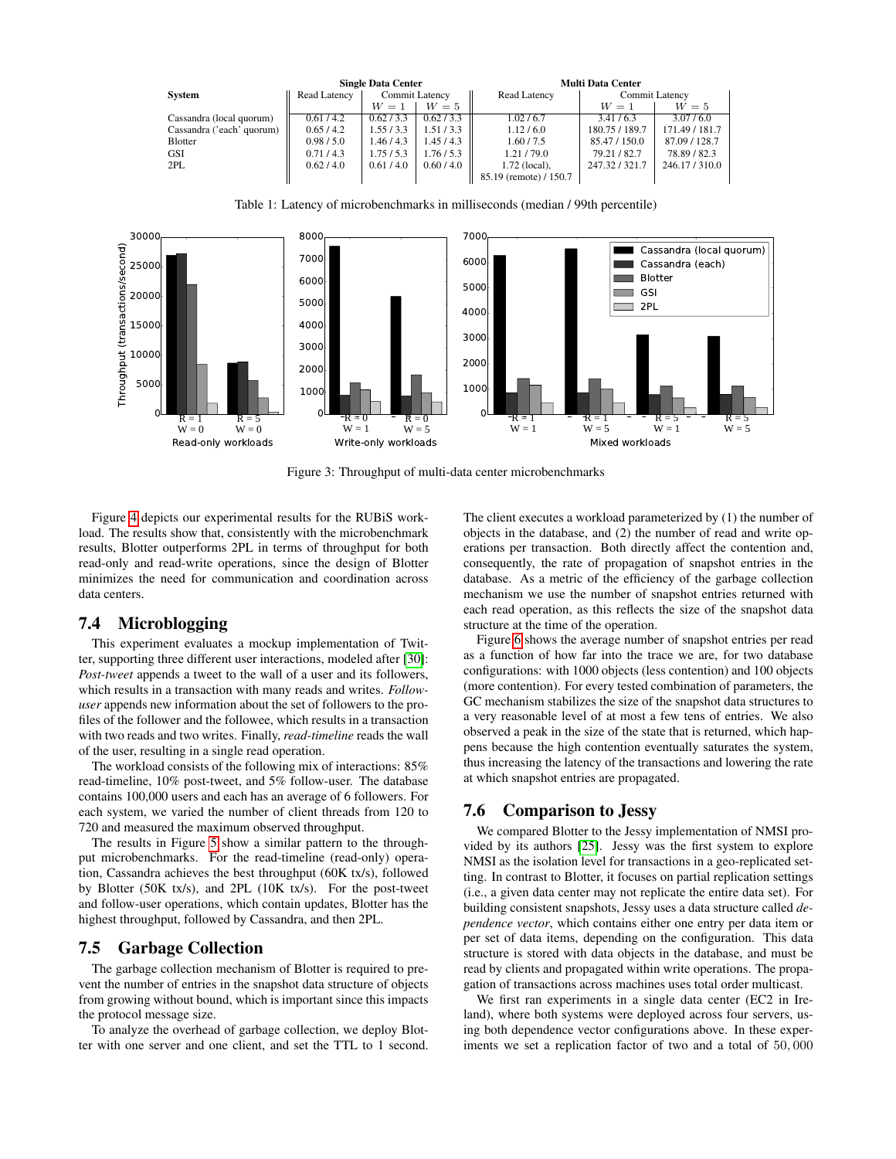<span id="page-7-3"></span>

|                           | <b>Single Data Center</b> |                       |            | <b>Multi Data Center</b> |                |                |
|---------------------------|---------------------------|-----------------------|------------|--------------------------|----------------|----------------|
| System                    | Read Latency              | <b>Commit Latency</b> |            | Read Latency             | Commit Latency |                |
|                           |                           | $W=1$                 | $W=5$      |                          | $W=1$          | $W=5$          |
| Cassandra (local quorum)  | 0.61/4.2                  | 0.62/3.3              | 0.62/3.3   | 1.02/6.7                 | 3.41/6.3       | 3.07/6.0       |
| Cassandra ('each' quorum) | 0.65/4.2                  | 1.55/3.3              | 1.51/3.3   | 1.12/6.0                 | 180.75 / 189.7 | 171.49 / 181.7 |
| <b>Blotter</b>            | 0.98/5.0                  | 1.46/4.3              | 1.45 / 4.3 | 1.60 / 7.5               | 85.47 / 150.0  | 87.09 / 128.7  |
| GSI                       | 0.71/4.3                  | 1.75/5.3              | 1.76/5.3   | 1.21/79.0                | 79.21 / 82.7   | 78.89/82.3     |
| 2PL                       | 0.62 / 4.0                | 0.61/4.0              | 0.60 / 4.0 | $1.72$ (local),          | 247.32 / 321.7 | 246.17/310.0   |
|                           |                           |                       |            | 85.19 (remote) / 150.7   |                |                |

Table 1: Latency of microbenchmarks in milliseconds (median / 99th percentile)

<span id="page-7-4"></span>

Figure 3: Throughput of multi-data center microbenchmarks

Figure [4](#page-8-0) depicts our experimental results for the RUBiS workload. The results show that, consistently with the microbenchmark results, Blotter outperforms 2PL in terms of throughput for both read-only and read-write operations, since the design of Blotter minimizes the need for communication and coordination across data centers.

## <span id="page-7-1"></span>7.4 Microblogging

This experiment evaluates a mockup implementation of Twitter, supporting three different user interactions, modeled after [\[30\]](#page-9-8): *Post-tweet* appends a tweet to the wall of a user and its followers, which results in a transaction with many reads and writes. *Followuser* appends new information about the set of followers to the profiles of the follower and the followee, which results in a transaction with two reads and two writes. Finally, *read-timeline* reads the wall of the user, resulting in a single read operation.

The workload consists of the following mix of interactions: 85% read-timeline, 10% post-tweet, and 5% follow-user. The database contains 100,000 users and each has an average of 6 followers. For each system, we varied the number of client threads from 120 to 720 and measured the maximum observed throughput.

The results in Figure [5](#page-8-0) show a similar pattern to the throughput microbenchmarks. For the read-timeline (read-only) operation, Cassandra achieves the best throughput (60K tx/s), followed by Blotter (50K tx/s), and 2PL (10K tx/s). For the post-tweet and follow-user operations, which contain updates, Blotter has the highest throughput, followed by Cassandra, and then 2PL.

### <span id="page-7-0"></span>7.5 Garbage Collection

The garbage collection mechanism of Blotter is required to prevent the number of entries in the snapshot data structure of objects from growing without bound, which is important since this impacts the protocol message size.

To analyze the overhead of garbage collection, we deploy Blotter with one server and one client, and set the TTL to 1 second. The client executes a workload parameterized by (1) the number of objects in the database, and (2) the number of read and write operations per transaction. Both directly affect the contention and, consequently, the rate of propagation of snapshot entries in the database. As a metric of the efficiency of the garbage collection mechanism we use the number of snapshot entries returned with each read operation, as this reflects the size of the snapshot data structure at the time of the operation.

Figure [6](#page-8-0) shows the average number of snapshot entries per read as a function of how far into the trace we are, for two database configurations: with 1000 objects (less contention) and 100 objects (more contention). For every tested combination of parameters, the GC mechanism stabilizes the size of the snapshot data structures to a very reasonable level of at most a few tens of entries. We also observed a peak in the size of the state that is returned, which happens because the high contention eventually saturates the system, thus increasing the latency of the transactions and lowering the rate at which snapshot entries are propagated.

#### <span id="page-7-2"></span>7.6 Comparison to Jessy

We compared Blotter to the Jessy implementation of NMSI provided by its authors [\[25\]](#page-9-11). Jessy was the first system to explore NMSI as the isolation level for transactions in a geo-replicated setting. In contrast to Blotter, it focuses on partial replication settings (i.e., a given data center may not replicate the entire data set). For building consistent snapshots, Jessy uses a data structure called *dependence vector*, which contains either one entry per data item or per set of data items, depending on the configuration. This data structure is stored with data objects in the database, and must be read by clients and propagated within write operations. The propagation of transactions across machines uses total order multicast.

We first ran experiments in a single data center (EC2 in Ireland), where both systems were deployed across four servers, using both dependence vector configurations above. In these experiments we set a replication factor of two and a total of 50, 000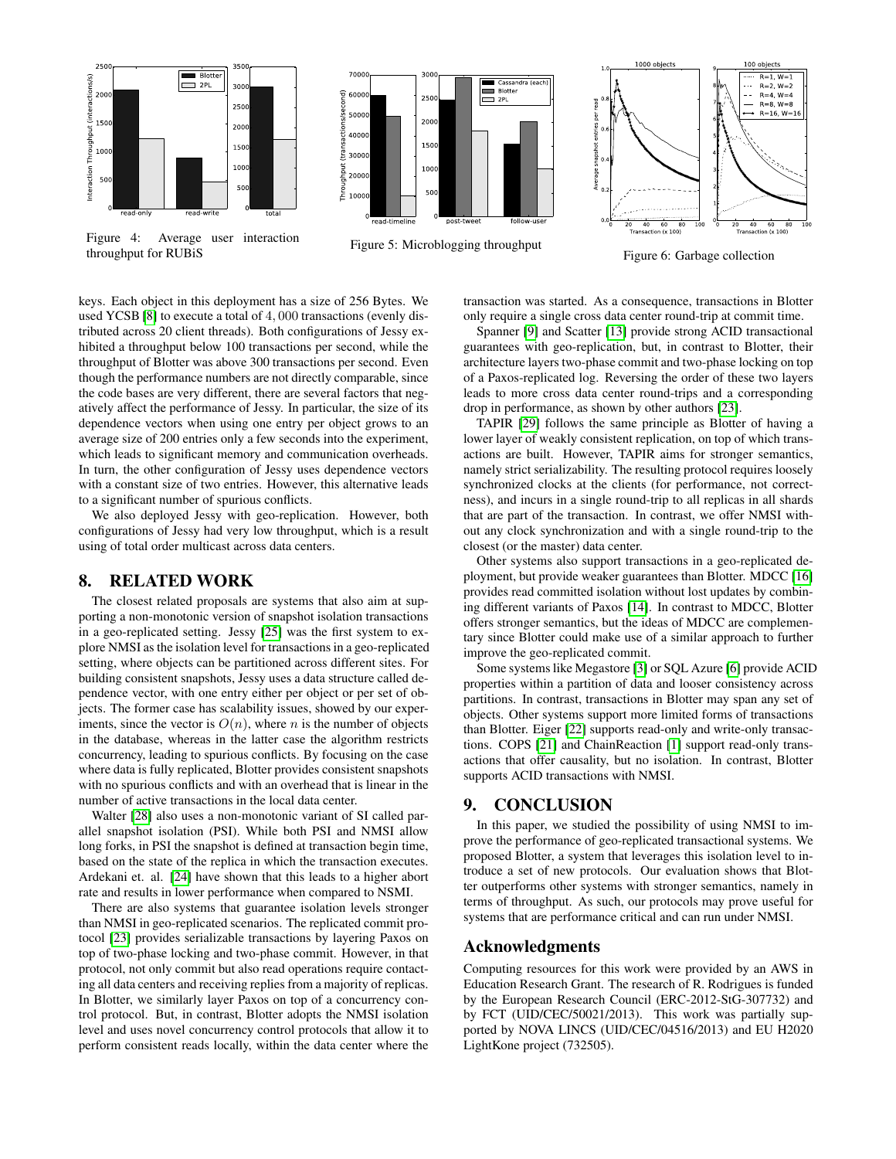<span id="page-8-0"></span>







Figure 6: Garbage collection

keys. Each object in this deployment has a size of 256 Bytes. We used YCSB [\[8\]](#page-9-23) to execute a total of 4, 000 transactions (evenly distributed across 20 client threads). Both configurations of Jessy exhibited a throughput below 100 transactions per second, while the throughput of Blotter was above 300 transactions per second. Even though the performance numbers are not directly comparable, since the code bases are very different, there are several factors that negatively affect the performance of Jessy. In particular, the size of its dependence vectors when using one entry per object grows to an average size of 200 entries only a few seconds into the experiment, which leads to significant memory and communication overheads. In turn, the other configuration of Jessy uses dependence vectors with a constant size of two entries. However, this alternative leads to a significant number of spurious conflicts.

We also deployed Jessy with geo-replication. However, both configurations of Jessy had very low throughput, which is a result using of total order multicast across data centers.

#### 8. RELATED WORK

The closest related proposals are systems that also aim at supporting a non-monotonic version of snapshot isolation transactions in a geo-replicated setting. Jessy [\[25\]](#page-9-11) was the first system to explore NMSI as the isolation level for transactions in a geo-replicated setting, where objects can be partitioned across different sites. For building consistent snapshots, Jessy uses a data structure called dependence vector, with one entry either per object or per set of objects. The former case has scalability issues, showed by our experiments, since the vector is  $O(n)$ , where n is the number of objects in the database, whereas in the latter case the algorithm restricts concurrency, leading to spurious conflicts. By focusing on the case where data is fully replicated, Blotter provides consistent snapshots with no spurious conflicts and with an overhead that is linear in the number of active transactions in the local data center.

Walter [\[28\]](#page-9-5) also uses a non-monotonic variant of SI called parallel snapshot isolation (PSI). While both PSI and NMSI allow long forks, in PSI the snapshot is defined at transaction begin time, based on the state of the replica in which the transaction executes. Ardekani et. al. [\[24\]](#page-9-6) have shown that this leads to a higher abort rate and results in lower performance when compared to NSMI.

There are also systems that guarantee isolation levels stronger than NMSI in geo-replicated scenarios. The replicated commit protocol [\[23\]](#page-9-10) provides serializable transactions by layering Paxos on top of two-phase locking and two-phase commit. However, in that protocol, not only commit but also read operations require contacting all data centers and receiving replies from a majority of replicas. In Blotter, we similarly layer Paxos on top of a concurrency control protocol. But, in contrast, Blotter adopts the NMSI isolation level and uses novel concurrency control protocols that allow it to perform consistent reads locally, within the data center where the

transaction was started. As a consequence, transactions in Blotter only require a single cross data center round-trip at commit time.

Spanner [\[9\]](#page-9-4) and Scatter [\[13\]](#page-9-24) provide strong ACID transactional guarantees with geo-replication, but, in contrast to Blotter, their architecture layers two-phase commit and two-phase locking on top of a Paxos-replicated log. Reversing the order of these two layers leads to more cross data center round-trips and a corresponding drop in performance, as shown by other authors [\[23\]](#page-9-10).

TAPIR [\[29\]](#page-9-25) follows the same principle as Blotter of having a lower layer of weakly consistent replication, on top of which transactions are built. However, TAPIR aims for stronger semantics, namely strict serializability. The resulting protocol requires loosely synchronized clocks at the clients (for performance, not correctness), and incurs in a single round-trip to all replicas in all shards that are part of the transaction. In contrast, we offer NMSI without any clock synchronization and with a single round-trip to the closest (or the master) data center.

Other systems also support transactions in a geo-replicated deployment, but provide weaker guarantees than Blotter. MDCC [\[16\]](#page-9-9) provides read committed isolation without lost updates by combining different variants of Paxos [\[14\]](#page-9-26). In contrast to MDCC, Blotter offers stronger semantics, but the ideas of MDCC are complementary since Blotter could make use of a similar approach to further improve the geo-replicated commit.

Some systems like Megastore [\[3\]](#page-9-2) or SQL Azure [\[6\]](#page-9-27) provide ACID properties within a partition of data and looser consistency across partitions. In contrast, transactions in Blotter may span any set of objects. Other systems support more limited forms of transactions than Blotter. Eiger [\[22\]](#page-9-7) supports read-only and write-only transactions. COPS [\[21\]](#page-9-28) and ChainReaction [\[1\]](#page-9-29) support read-only transactions that offer causality, but no isolation. In contrast, Blotter supports ACID transactions with NMSI.

## 9. CONCLUSION

In this paper, we studied the possibility of using NMSI to improve the performance of geo-replicated transactional systems. We proposed Blotter, a system that leverages this isolation level to introduce a set of new protocols. Our evaluation shows that Blotter outperforms other systems with stronger semantics, namely in terms of throughput. As such, our protocols may prove useful for systems that are performance critical and can run under NMSI.

#### Acknowledgments

Computing resources for this work were provided by an AWS in Education Research Grant. The research of R. Rodrigues is funded by the European Research Council (ERC-2012-StG-307732) and by FCT (UID/CEC/50021/2013). This work was partially supported by NOVA LINCS (UID/CEC/04516/2013) and EU H2020 LightKone project (732505).

Figure 4: Average user interaction